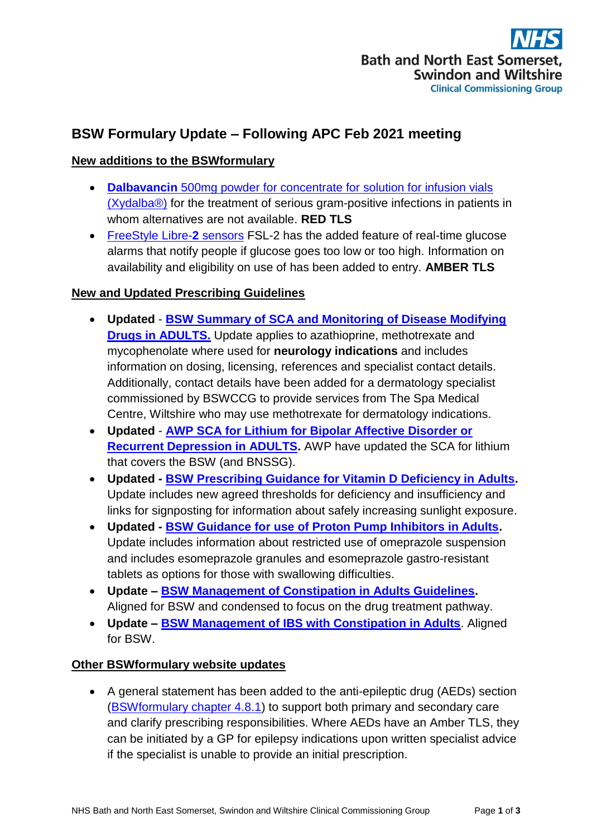# **BSW Formulary Update – Following APC Feb 2021 meeting**

## **New additions to the BSWformulary**

- **Dalbavancin** [500mg powder for concentrate for solution for infusion vials](http://bswformulary.nhs.uk/chaptersSubDetails.asp?FormularySectionID=5&SubSectionRef=05.01.07&SubSectionID=A100&drugmatch=4599#4599)  [\(Xydalba®\)](http://bswformulary.nhs.uk/chaptersSubDetails.asp?FormularySectionID=5&SubSectionRef=05.01.07&SubSectionID=A100&drugmatch=4599#4599) for the treatment of serious gram-positive infections in patients in whom alternatives are not available. **RED TLS**
- [FreeStyle Libre-](http://bswformulary.nhs.uk/chaptersSubDetails.asp?FormularySectionID=5&SubSectionRef=05.01.07&SubSectionID=A100&drugmatch=4599#4599)**2** sensors FSL-2 has the added feature of real-time glucose alarms that notify people if glucose goes too low or too high. Information on availability and eligibility on use of has been added to entry. **AMBER TLS**

### **New and Updated Prescribing Guidelines**

- **Updated [BSW Summary of SCA and Monitoring of Disease Modifying](https://prescribing.bswccg.nhs.uk/?wpdmdl=8285)  [Drugs in ADULTS.](https://prescribing.bswccg.nhs.uk/?wpdmdl=8285)** Update applies to azathioprine, methotrexate and mycophenolate where used for **neurology indications** and includes information on dosing, licensing, references and specialist contact details. Additionally, contact details have been added for a dermatology specialist commissioned by BSWCCG to provide services from The Spa Medical Centre, Wiltshire who may use methotrexate for dermatology indications.
- **Updated [AWP SCA for Lithium for Bipolar Affective Disorder or](https://prescribing.bswccg.nhs.uk/?wpdmdl=6758)  [Recurrent Depression in ADULTS.](https://prescribing.bswccg.nhs.uk/?wpdmdl=6758)** AWP have updated the SCA for lithium that covers the BSW (and BNSSG).
- **Updated - [BSW Prescribing Guidance for Vitamin D Deficiency in Adults.](https://prescribing.bswccg.nhs.uk/?wpdmdl=6567)** Update includes new agreed thresholds for deficiency and insufficiency and links for signposting for information about safely increasing sunlight exposure.
- **Updated - [BSW Guidance for use of Proton Pump Inhibitors in Adults.](https://prescribing.bswccg.nhs.uk/?wpdmdl=6250)**  Update includes information about restricted use of omeprazole suspension and includes esomeprazole granules and esomeprazole gastro-resistant tablets as options for those with swallowing difficulties.
- **Update – [BSW Management of Constipation in Adults Guidelines.](https://prescribing.bswccg.nhs.uk/?wpdmdl=6246)**  Aligned for BSW and condensed to focus on the drug treatment pathway.
- **Update – [BSW Management of IBS with Constipation in Adults](https://prescribing.bswccg.nhs.uk/?wpdmdl=6254)**. Aligned for BSW.

### **Other BSWformulary website updates**

 A general statement has been added to the anti-epileptic drug (AEDs) section [\(BSWformulary chapter 4.8.1\)](http://bswformulary.nhs.uk/chaptersSubDetails.asp?FormularySectionID=4&SubSectionRef=04.08.01&SubSectionID=A100) to support both primary and secondary care and clarify prescribing responsibilities. Where AEDs have an Amber TLS, they can be initiated by a GP for epilepsy indications upon written specialist advice if the specialist is unable to provide an initial prescription.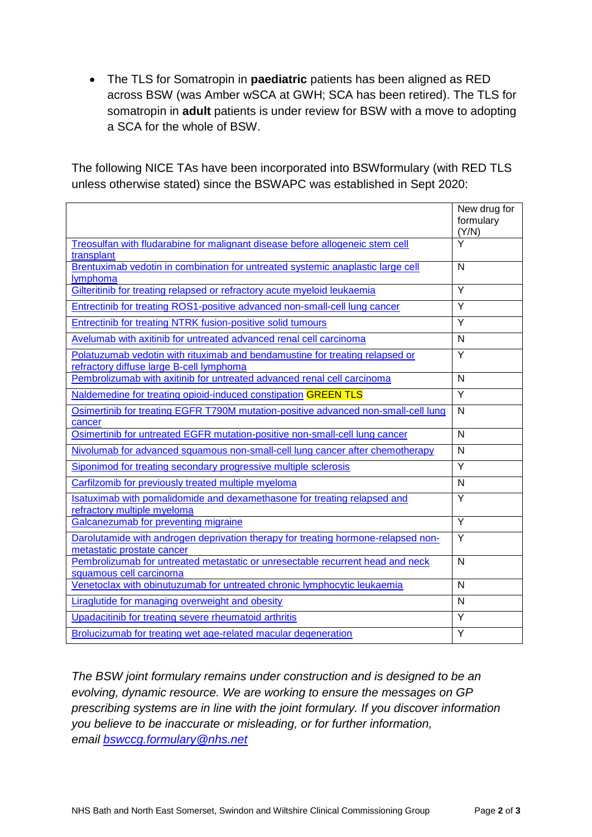The TLS for Somatropin in **paediatric** patients has been aligned as RED across BSW (was Amber wSCA at GWH; SCA has been retired). The TLS for somatropin in **adult** patients is under review for BSW with a move to adopting a SCA for the whole of BSW.

The following NICE TAs have been incorporated into BSWformulary (with RED TLS unless otherwise stated) since the BSWAPC was established in Sept 2020:

|                                                                                                                 | New drug for            |
|-----------------------------------------------------------------------------------------------------------------|-------------------------|
|                                                                                                                 | formulary               |
|                                                                                                                 | (Y/N)                   |
| Treosulfan with fludarabine for malignant disease before allogeneic stem cell                                   | $\overline{\mathsf{Y}}$ |
| transplant                                                                                                      |                         |
| Brentuximab vedotin in combination for untreated systemic anaplastic large cell                                 | $\mathsf{N}$            |
| lymphoma                                                                                                        |                         |
| Gilteritinib for treating relapsed or refractory acute myeloid leukaemia                                        | Y                       |
| Entrectinib for treating ROS1-positive advanced non-small-cell lung cancer                                      | Y                       |
| Entrectinib for treating NTRK fusion-positive solid tumours                                                     | Y                       |
| Avelumab with axitinib for untreated advanced renal cell carcinoma                                              | N                       |
| Polatuzumab vedotin with rituximab and bendamustine for treating relapsed or                                    | Y                       |
| refractory diffuse large B-cell lymphoma                                                                        |                         |
| Pembrolizumab with axitinib for untreated advanced renal cell carcinoma                                         | N                       |
| Naldemedine for treating opioid-induced constipation GREEN TLS                                                  | Y                       |
| Osimertinib for treating EGFR T790M mutation-positive advanced non-small-cell lung<br>cancer                    | N                       |
| Osimertinib for untreated EGFR mutation-positive non-small-cell lung cancer                                     | $\mathsf{N}$            |
| Nivolumab for advanced squamous non-small-cell lung cancer after chemotherapy                                   | N                       |
| Siponimod for treating secondary progressive multiple sclerosis                                                 | Y                       |
| Carfilzomib for previously treated multiple myeloma                                                             | $\mathsf{N}$            |
| Isatuximab with pomalidomide and dexamethasone for treating relapsed and<br>refractory multiple myeloma         | Y                       |
| Galcanezumab for preventing migraine                                                                            | Y                       |
| Darolutamide with androgen deprivation therapy for treating hormone-relapsed non-<br>metastatic prostate cancer | Y                       |
| Pembrolizumab for untreated metastatic or unresectable recurrent head and neck<br>squamous cell carcinoma       | N                       |
| Venetoclax with obinutuzumab for untreated chronic lymphocytic leukaemia                                        | N                       |
| <b>Liraglutide for managing overweight and obesity</b>                                                          | N                       |
| Upadacitinib for treating severe rheumatoid arthritis                                                           | Y                       |
| Brolucizumab for treating wet age-related macular degeneration                                                  | Y                       |

*The BSW joint formulary remains under construction and is designed to be an evolving, dynamic resource. We are working to ensure the messages on GP prescribing systems are in line with the joint formulary. If you discover information you believe to be inaccurate or misleading, or for further information, email [bswccg.formulary@nhs.net](mailto:bswccg.formulary@nhs.net)*